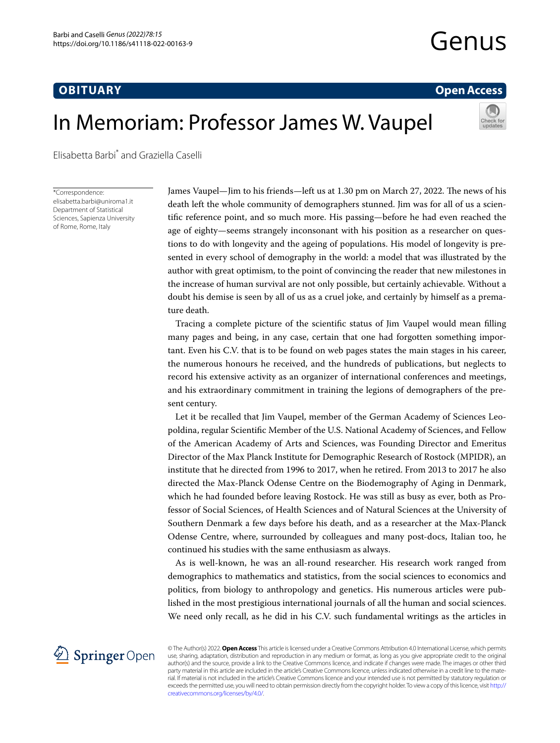## **OBITUARY**

# **Open Access**

# In Memoriam: Professor James W. Vaupel



Elisabetta Barbi\* and Graziella Caselli

\*Correspondence: elisabetta.barbi@uniroma1.it Department of Statistical Sciences, Sapienza University of Rome, Rome, Italy

James Vaupel—Jim to his friends—left us at 1.30 pm on March 27, 2022. The news of his death left the whole community of demographers stunned. Jim was for all of us a scientifc reference point, and so much more. His passing—before he had even reached the age of eighty—seems strangely inconsonant with his position as a researcher on questions to do with longevity and the ageing of populations. His model of longevity is presented in every school of demography in the world: a model that was illustrated by the author with great optimism, to the point of convincing the reader that new milestones in the increase of human survival are not only possible, but certainly achievable. Without a doubt his demise is seen by all of us as a cruel joke, and certainly by himself as a premature death.

Tracing a complete picture of the scientifc status of Jim Vaupel would mean flling many pages and being, in any case, certain that one had forgotten something important. Even his C.V. that is to be found on web pages states the main stages in his career, the numerous honours he received, and the hundreds of publications, but neglects to record his extensive activity as an organizer of international conferences and meetings, and his extraordinary commitment in training the legions of demographers of the present century.

Let it be recalled that Jim Vaupel, member of the German Academy of Sciences Leopoldina, regular Scientifc Member of the U.S. National Academy of Sciences, and Fellow of the American Academy of Arts and Sciences, was Founding Director and Emeritus Director of the Max Planck Institute for Demographic Research of Rostock (MPIDR), an institute that he directed from 1996 to 2017, when he retired. From 2013 to 2017 he also directed the Max-Planck Odense Centre on the Biodemography of Aging in Denmark, which he had founded before leaving Rostock. He was still as busy as ever, both as Professor of Social Sciences, of Health Sciences and of Natural Sciences at the University of Southern Denmark a few days before his death, and as a researcher at the Max-Planck Odense Centre, where, surrounded by colleagues and many post-docs, Italian too, he continued his studies with the same enthusiasm as always.

As is well-known, he was an all-round researcher. His research work ranged from demographics to mathematics and statistics, from the social sciences to economics and politics, from biology to anthropology and genetics. His numerous articles were published in the most prestigious international journals of all the human and social sciences. We need only recall, as he did in his C.V. such fundamental writings as the articles in



© The Author(s) 2022. **Open Access** This article is licensed under a Creative Commons Attribution 4.0 International License, which permits use, sharing, adaptation, distribution and reproduction in any medium or format, as long as you give appropriate credit to the original author(s) and the source, provide a link to the Creative Commons licence, and indicate if changes were made. The images or other third party material in this article are included in the article's Creative Commons licence, unless indicated otherwise in a credit line to the material. If material is not included in the article's Creative Commons licence and your intended use is not permitted by statutory regulation or exceeds the permitted use, you will need to obtain permission directly from the copyright holder. To view a copy of this licence, visit [http://](http://creativecommons.org/licenses/by/4.0/) [creativecommons.org/licenses/by/4.0/.](http://creativecommons.org/licenses/by/4.0/)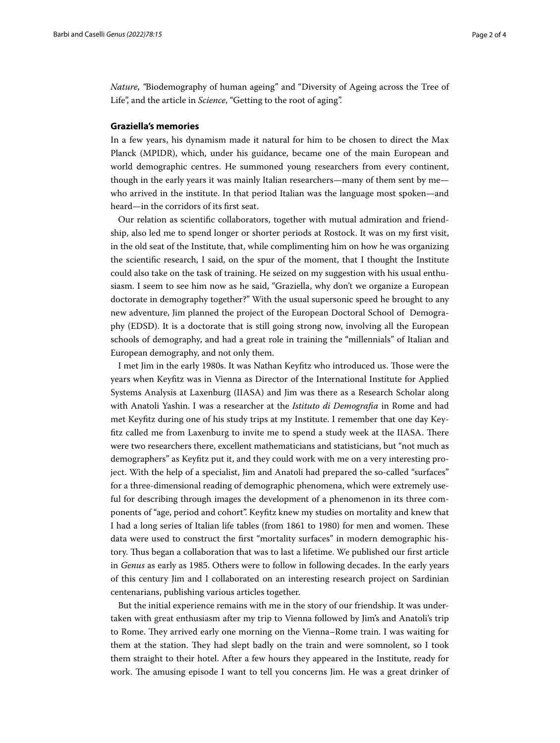*Nature*, *"*Biodemography of human ageing" and "Diversity of Ageing across the Tree of Life", and the article in *Science*, "Getting to the root of aging".

#### **Graziella's memories**

In a few years, his dynamism made it natural for him to be chosen to direct the Max Planck (MPIDR), which, under his guidance, became one of the main European and world demographic centres. He summoned young researchers from every continent, though in the early years it was mainly Italian researchers—many of them sent by me who arrived in the institute. In that period Italian was the language most spoken—and heard—in the corridors of its frst seat.

Our relation as scientifc collaborators, together with mutual admiration and friendship, also led me to spend longer or shorter periods at Rostock. It was on my frst visit, in the old seat of the Institute, that, while complimenting him on how he was organizing the scientifc research, I said, on the spur of the moment, that I thought the Institute could also take on the task of training. He seized on my suggestion with his usual enthusiasm. I seem to see him now as he said, "Graziella, why don't we organize a European doctorate in demography together?" With the usual supersonic speed he brought to any new adventure, Jim planned the project of the European Doctoral School of Demography (EDSD). It is a doctorate that is still going strong now, involving all the European schools of demography, and had a great role in training the "millennials" of Italian and European demography, and not only them.

I met Jim in the early 1980s. It was Nathan Keyftz who introduced us. Tose were the years when Keyftz was in Vienna as Director of the International Institute for Applied Systems Analysis at Laxenburg (IIASA) and Jim was there as a Research Scholar along with Anatoli Yashin. I was a researcher at the *Istituto di Demografa* in Rome and had met Keyftz during one of his study trips at my Institute. I remember that one day Keyfitz called me from Laxenburg to invite me to spend a study week at the IIASA. There were two researchers there, excellent mathematicians and statisticians, but "not much as demographers" as Keyftz put it, and they could work with me on a very interesting project. With the help of a specialist, Jim and Anatoli had prepared the so-called "surfaces" for a three-dimensional reading of demographic phenomena, which were extremely useful for describing through images the development of a phenomenon in its three components of "age, period and cohort". Keyftz knew my studies on mortality and knew that I had a long series of Italian life tables (from 1861 to 1980) for men and women. Tese data were used to construct the frst "mortality surfaces" in modern demographic history. Thus began a collaboration that was to last a lifetime. We published our first article in *Genus* as early as 1985. Others were to follow in following decades. In the early years of this century Jim and I collaborated on an interesting research project on Sardinian centenarians, publishing various articles together.

But the initial experience remains with me in the story of our friendship. It was undertaken with great enthusiasm after my trip to Vienna followed by Jim's and Anatoli's trip to Rome. They arrived early one morning on the Vienna–Rome train. I was waiting for them at the station. They had slept badly on the train and were somnolent, so I took them straight to their hotel. After a few hours they appeared in the Institute, ready for work. The amusing episode I want to tell you concerns Jim. He was a great drinker of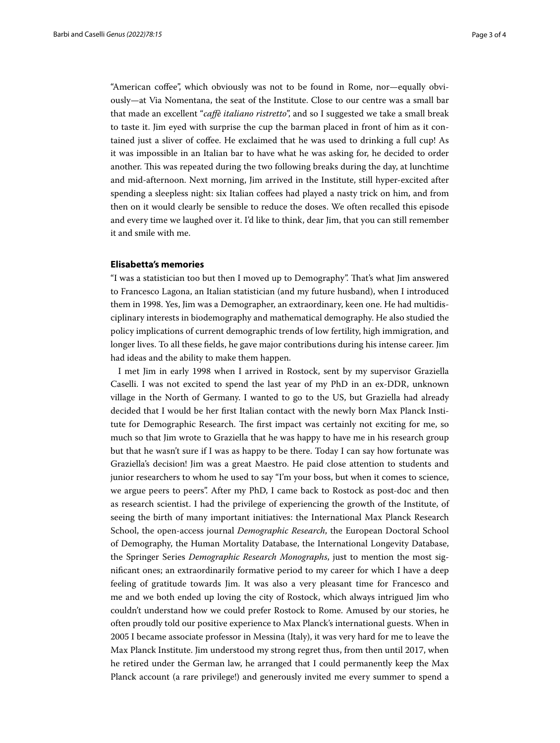"American cofee", which obviously was not to be found in Rome, nor—equally obviously—at Via Nomentana, the seat of the Institute. Close to our centre was a small bar that made an excellent "*cafè italiano ristretto*", and so I suggested we take a small break to taste it. Jim eyed with surprise the cup the barman placed in front of him as it contained just a sliver of cofee. He exclaimed that he was used to drinking a full cup! As it was impossible in an Italian bar to have what he was asking for, he decided to order another. This was repeated during the two following breaks during the day, at lunchtime and mid-afternoon. Next morning, Jim arrived in the Institute, still hyper-excited after spending a sleepless night: six Italian coffees had played a nasty trick on him, and from then on it would clearly be sensible to reduce the doses. We often recalled this episode and every time we laughed over it. I'd like to think, dear Jim, that you can still remember it and smile with me.

#### **Elisabetta's memories**

"I was a statistician too but then I moved up to Demography". Tat's what Jim answered to Francesco Lagona, an Italian statistician (and my future husband), when I introduced them in 1998. Yes, Jim was a Demographer, an extraordinary, keen one. He had multidisciplinary interests in biodemography and mathematical demography. He also studied the policy implications of current demographic trends of low fertility, high immigration, and longer lives. To all these felds, he gave major contributions during his intense career. Jim had ideas and the ability to make them happen.

I met Jim in early 1998 when I arrived in Rostock, sent by my supervisor Graziella Caselli. I was not excited to spend the last year of my PhD in an ex-DDR, unknown village in the North of Germany. I wanted to go to the US, but Graziella had already decided that I would be her frst Italian contact with the newly born Max Planck Institute for Demographic Research. The first impact was certainly not exciting for me, so much so that Jim wrote to Graziella that he was happy to have me in his research group but that he wasn't sure if I was as happy to be there. Today I can say how fortunate was Graziella's decision! Jim was a great Maestro. He paid close attention to students and junior researchers to whom he used to say "I'm your boss, but when it comes to science, we argue peers to peers". After my PhD, I came back to Rostock as post-doc and then as research scientist. I had the privilege of experiencing the growth of the Institute, of seeing the birth of many important initiatives: the International Max Planck Research School, the open-access journal *Demographic Research*, the European Doctoral School of Demography, the Human Mortality Database, the International Longevity Database, the Springer Series *Demographic Research Monographs*, just to mention the most signifcant ones; an extraordinarily formative period to my career for which I have a deep feeling of gratitude towards Jim. It was also a very pleasant time for Francesco and me and we both ended up loving the city of Rostock, which always intrigued Jim who couldn't understand how we could prefer Rostock to Rome. Amused by our stories, he often proudly told our positive experience to Max Planck's international guests. When in 2005 I became associate professor in Messina (Italy), it was very hard for me to leave the Max Planck Institute. Jim understood my strong regret thus, from then until 2017, when he retired under the German law, he arranged that I could permanently keep the Max Planck account (a rare privilege!) and generously invited me every summer to spend a